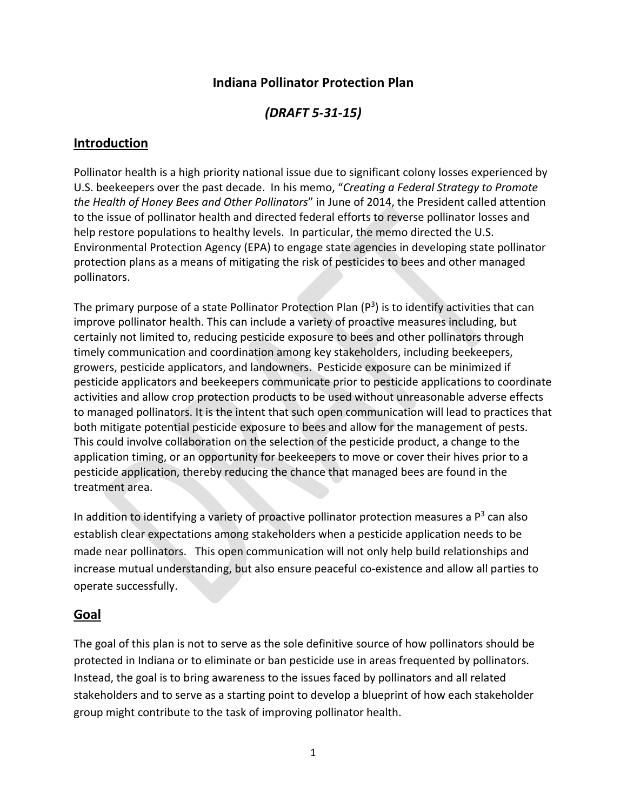### **Indiana Pollinator Protection Plan**

## *(DRAFT 5‐31‐15)*

### **Introduction**

Pollinator health is a high priority national issue due to significant colony losses experienced by U.S. beekeepers over the past decade. In his memo, "*Creating a Federal Strategy to Promote the Health of Honey Bees and Other Pollinators*" in June of 2014, the President called attention to the issue of pollinator health and directed federal efforts to reverse pollinator losses and help restore populations to healthy levels. In particular, the memo directed the U.S. Environmental Protection Agency (EPA) to engage state agencies in developing state pollinator protection plans as a means of mitigating the risk of pesticides to bees and other managed pollinators.

The primary purpose of a state Pollinator Protection Plan  $(P^3)$  is to identify activities that can improve pollinator health. This can include a variety of proactive measures including, but certainly not limited to, reducing pesticide exposure to bees and other pollinators through timely communication and coordination among key stakeholders, including beekeepers, growers, pesticide applicators, and landowners. Pesticide exposure can be minimized if pesticide applicators and beekeepers communicate prior to pesticide applications to coordinate activities and allow crop protection products to be used without unreasonable adverse effects to managed pollinators. It is the intent that such open communication will lead to practices that both mitigate potential pesticide exposure to bees and allow for the management of pests. This could involve collaboration on the selection of the pesticide product, a change to the application timing, or an opportunity for beekeepers to move or cover their hives prior to a pesticide application, thereby reducing the chance that managed bees are found in the treatment area.

In addition to identifying a variety of proactive pollinator protection measures a  $P<sup>3</sup>$  can also establish clear expectations among stakeholders when a pesticide application needs to be made near pollinators. This open communication will not only help build relationships and increase mutual understanding, but also ensure peaceful co-existence and allow all parties to operate successfully.

### **Goal**

The goal of this plan is not to serve as the sole definitive source of how pollinators should be protected in Indiana or to eliminate or ban pesticide use in areas frequented by pollinators. Instead, the goal is to bring awareness to the issues faced by pollinators and all related stakeholders and to serve as a starting point to develop a blueprint of how each stakeholder group might contribute to the task of improving pollinator health.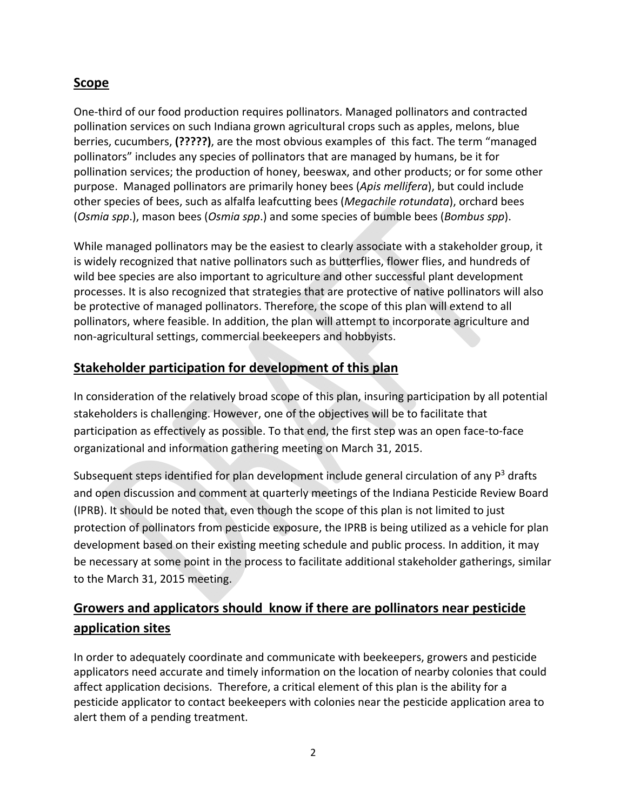## **Scope**

One‐third of our food production requires pollinators. Managed pollinators and contracted pollination services on such Indiana grown agricultural crops such as apples, melons, blue berries, cucumbers, **(?????)**, are the most obvious examples of this fact. The term "managed pollinators" includes any species of pollinators that are managed by humans, be it for pollination services; the production of honey, beeswax, and other products; or for some other purpose. Managed pollinators are primarily honey bees (*Apis mellifera*), but could include other species of bees, such as alfalfa leafcutting bees (*Megachile rotundata*), orchard bees (*Osmia spp*.), mason bees (*Osmia spp*.) and some species of bumble bees (*Bombus spp*).

While managed pollinators may be the easiest to clearly associate with a stakeholder group, it is widely recognized that native pollinators such as butterflies, flower flies, and hundreds of wild bee species are also important to agriculture and other successful plant development processes. It is also recognized that strategies that are protective of native pollinators will also be protective of managed pollinators. Therefore, the scope of this plan will extend to all pollinators, where feasible. In addition, the plan will attempt to incorporate agriculture and non‐agricultural settings, commercial beekeepers and hobbyists.

## **Stakeholder participation for development of this plan**

In consideration of the relatively broad scope of this plan, insuring participation by all potential stakeholders is challenging. However, one of the objectives will be to facilitate that participation as effectively as possible. To that end, the first step was an open face‐to‐face organizational and information gathering meeting on March 31, 2015.

Subsequent steps identified for plan development include general circulation of any  $P<sup>3</sup>$  drafts and open discussion and comment at quarterly meetings of the Indiana Pesticide Review Board (IPRB). It should be noted that, even though the scope of this plan is not limited to just protection of pollinators from pesticide exposure, the IPRB is being utilized as a vehicle for plan development based on their existing meeting schedule and public process. In addition, it may be necessary at some point in the process to facilitate additional stakeholder gatherings, similar to the March 31, 2015 meeting.

## **Growers and applicators should know if there are pollinators near pesticide application sites**

In order to adequately coordinate and communicate with beekeepers, growers and pesticide applicators need accurate and timely information on the location of nearby colonies that could affect application decisions. Therefore, a critical element of this plan is the ability for a pesticide applicator to contact beekeepers with colonies near the pesticide application area to alert them of a pending treatment.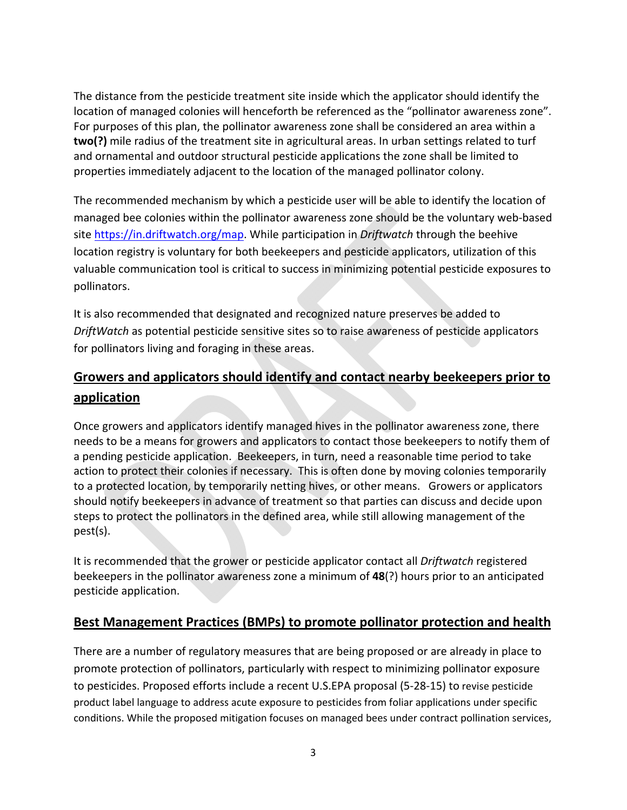The distance from the pesticide treatment site inside which the applicator should identify the location of managed colonies will henceforth be referenced as the "pollinator awareness zone". For purposes of this plan, the pollinator awareness zone shall be considered an area within a **two(?)** mile radius of the treatment site in agricultural areas. In urban settings related to turf and ornamental and outdoor structural pesticide applications the zone shall be limited to properties immediately adjacent to the location of the managed pollinator colony.

The recommended mechanism by which a pesticide user will be able to identify the location of managed bee colonies within the pollinator awareness zone should be the voluntary web‐based site https://in.driftwatch.org/map. While participation in *Driftwatch* through the beehive location registry is voluntary for both beekeepers and pesticide applicators, utilization of this valuable communication tool is critical to success in minimizing potential pesticide exposures to pollinators.

It is also recommended that designated and recognized nature preserves be added to *DriftWatch* as potential pesticide sensitive sites so to raise awareness of pesticide applicators for pollinators living and foraging in these areas.

# **Growers and applicators should identify and contact nearby beekeepers prior to application**

Once growers and applicators identify managed hives in the pollinator awareness zone, there needs to be a means for growers and applicators to contact those beekeepers to notify them of a pending pesticide application. Beekeepers, in turn, need a reasonable time period to take action to protect their colonies if necessary. This is often done by moving colonies temporarily to a protected location, by temporarily netting hives, or other means. Growers or applicators should notify beekeepers in advance of treatment so that parties can discuss and decide upon steps to protect the pollinators in the defined area, while still allowing management of the pest(s).

It is recommended that the grower or pesticide applicator contact all *Driftwatch* registered beekeepers in the pollinator awareness zone a minimum of **48**(?) hours prior to an anticipated pesticide application.

### **Best Management Practices (BMPs) to promote pollinator protection and health**

There are a number of regulatory measures that are being proposed or are already in place to promote protection of pollinators, particularly with respect to minimizing pollinator exposure to pesticides. Proposed efforts include a recent U.S.EPA proposal (5‐28‐15) to revise pesticide product label language to address acute exposure to pesticides from foliar applications under specific conditions. While the proposed mitigation focuses on managed bees under contract pollination services,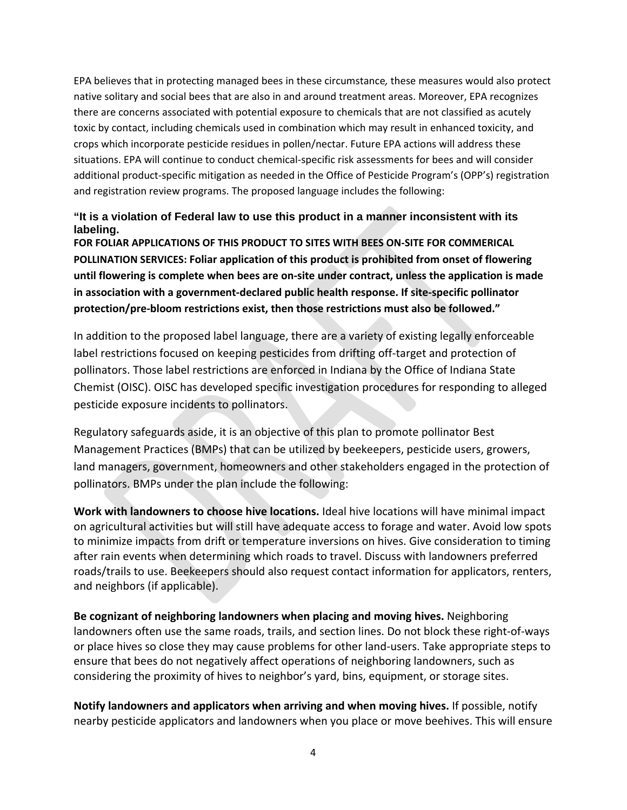EPA believes that in protecting managed bees in these circumstance*,* these measures would also protect native solitary and social bees that are also in and around treatment areas. Moreover, EPA recognizes there are concerns associated with potential exposure to chemicals that are not classified as acutely toxic by contact, including chemicals used in combination which may result in enhanced toxicity, and crops which incorporate pesticide residues in pollen/nectar. Future EPA actions will address these situations. EPA will continue to conduct chemical‐specific risk assessments for bees and will consider additional product‐specific mitigation as needed in the Office of Pesticide Program's (OPP's) registration and registration review programs. The proposed language includes the following:

#### **"It is a violation of Federal law to use this product in a manner inconsistent with its labeling.**

**FOR FOLIAR APPLICATIONS OF THIS PRODUCT TO SITES WITH BEES ON‐SITE FOR COMMERICAL POLLINATION SERVICES: Foliar application of this product is prohibited from onset of flowering until flowering is complete when bees are on‐site under contract, unless the application is made in association with a government‐declared public health response. If site‐specific pollinator protection/pre‐bloom restrictions exist, then those restrictions must also be followed."**

In addition to the proposed label language, there are a variety of existing legally enforceable label restrictions focused on keeping pesticides from drifting off-target and protection of pollinators. Those label restrictions are enforced in Indiana by the Office of Indiana State Chemist (OISC). OISC has developed specific investigation procedures for responding to alleged pesticide exposure incidents to pollinators.

Regulatory safeguards aside, it is an objective of this plan to promote pollinator Best Management Practices (BMPs) that can be utilized by beekeepers, pesticide users, growers, land managers, government, homeowners and other stakeholders engaged in the protection of pollinators. BMPs under the plan include the following:

**Work with landowners to choose hive locations.** Ideal hive locations will have minimal impact on agricultural activities but will still have adequate access to forage and water. Avoid low spots to minimize impacts from drift or temperature inversions on hives. Give consideration to timing after rain events when determining which roads to travel. Discuss with landowners preferred roads/trails to use. Beekeepers should also request contact information for applicators, renters, and neighbors (if applicable).

**Be cognizant of neighboring landowners when placing and moving hives.** Neighboring landowners often use the same roads, trails, and section lines. Do not block these right‐of‐ways or place hives so close they may cause problems for other land‐users. Take appropriate steps to ensure that bees do not negatively affect operations of neighboring landowners, such as considering the proximity of hives to neighbor's yard, bins, equipment, or storage sites.

**Notify landowners and applicators when arriving and when moving hives.** If possible, notify nearby pesticide applicators and landowners when you place or move beehives. This will ensure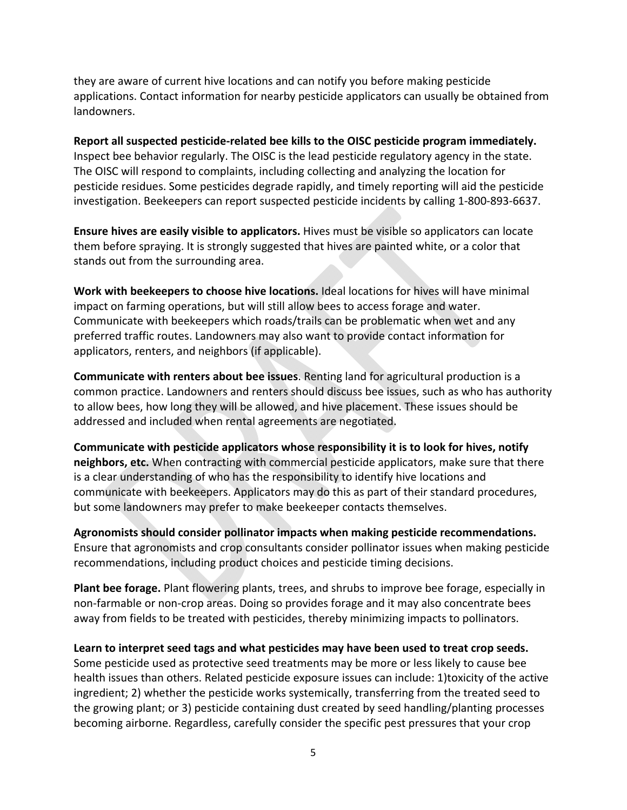they are aware of current hive locations and can notify you before making pesticide applications. Contact information for nearby pesticide applicators can usually be obtained from landowners.

**Report all suspected pesticide‐related bee kills to the OISC pesticide program immediately.** Inspect bee behavior regularly. The OISC is the lead pesticide regulatory agency in the state. The OISC will respond to complaints, including collecting and analyzing the location for pesticide residues. Some pesticides degrade rapidly, and timely reporting will aid the pesticide investigation. Beekeepers can report suspected pesticide incidents by calling 1‐800‐893‐6637.

**Ensure hives are easily visible to applicators.** Hives must be visible so applicators can locate them before spraying. It is strongly suggested that hives are painted white, or a color that stands out from the surrounding area.

**Work with beekeepers to choose hive locations.** Ideal locations for hives will have minimal impact on farming operations, but will still allow bees to access forage and water. Communicate with beekeepers which roads/trails can be problematic when wet and any preferred traffic routes. Landowners may also want to provide contact information for applicators, renters, and neighbors (if applicable).

**Communicate with renters about bee issues**. Renting land for agricultural production is a common practice. Landowners and renters should discuss bee issues, such as who has authority to allow bees, how long they will be allowed, and hive placement. These issues should be addressed and included when rental agreements are negotiated.

**Communicate with pesticide applicators whose responsibility it is to look for hives, notify neighbors, etc.** When contracting with commercial pesticide applicators, make sure that there is a clear understanding of who has the responsibility to identify hive locations and communicate with beekeepers. Applicators may do this as part of their standard procedures, but some landowners may prefer to make beekeeper contacts themselves.

**Agronomists should consider pollinator impacts when making pesticide recommendations.** Ensure that agronomists and crop consultants consider pollinator issues when making pesticide recommendations, including product choices and pesticide timing decisions.

**Plant bee forage.** Plant flowering plants, trees, and shrubs to improve bee forage, especially in non‐farmable or non‐crop areas. Doing so provides forage and it may also concentrate bees away from fields to be treated with pesticides, thereby minimizing impacts to pollinators.

**Learn to interpret seed tags and what pesticides may have been used to treat crop seeds.** Some pesticide used as protective seed treatments may be more or less likely to cause bee health issues than others. Related pesticide exposure issues can include: 1)toxicity of the active ingredient; 2) whether the pesticide works systemically, transferring from the treated seed to the growing plant; or 3) pesticide containing dust created by seed handling/planting processes becoming airborne. Regardless, carefully consider the specific pest pressures that your crop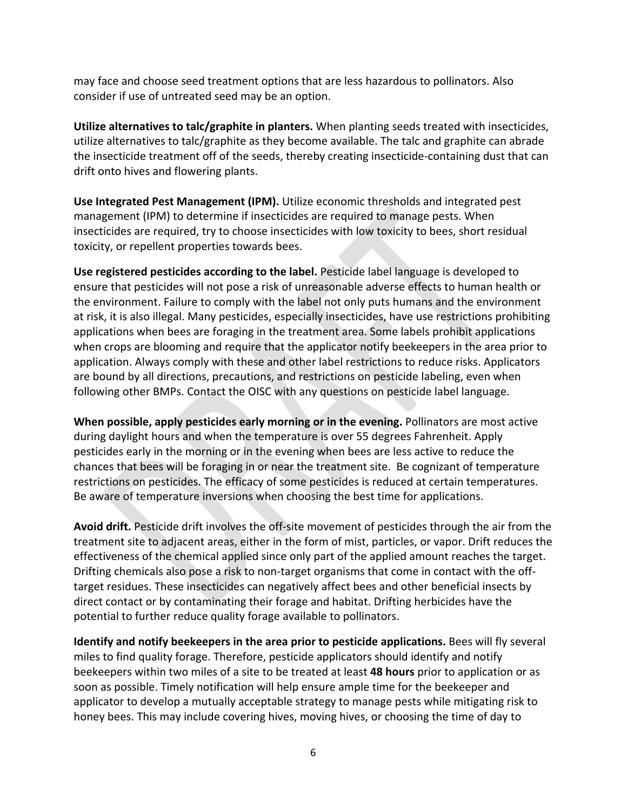may face and choose seed treatment options that are less hazardous to pollinators. Also consider if use of untreated seed may be an option.

**Utilize alternatives to talc/graphite in planters.** When planting seeds treated with insecticides, utilize alternatives to talc/graphite as they become available. The talc and graphite can abrade the insecticide treatment off of the seeds, thereby creating insecticide‐containing dust that can drift onto hives and flowering plants.

**Use Integrated Pest Management (IPM).** Utilize economic thresholds and integrated pest management (IPM) to determine if insecticides are required to manage pests. When insecticides are required, try to choose insecticides with low toxicity to bees, short residual toxicity, or repellent properties towards bees.

**Use registered pesticides according to the label.** Pesticide label language is developed to ensure that pesticides will not pose a risk of unreasonable adverse effects to human health or the environment. Failure to comply with the label not only puts humans and the environment at risk, it is also illegal. Many pesticides, especially insecticides, have use restrictions prohibiting applications when bees are foraging in the treatment area. Some labels prohibit applications when crops are blooming and require that the applicator notify beekeepers in the area prior to application. Always comply with these and other label restrictions to reduce risks. Applicators are bound by all directions, precautions, and restrictions on pesticide labeling, even when following other BMPs. Contact the OISC with any questions on pesticide label language.

**When possible, apply pesticides early morning or in the evening.** Pollinators are most active during daylight hours and when the temperature is over 55 degrees Fahrenheit. Apply pesticides early in the morning or in the evening when bees are less active to reduce the chances that bees will be foraging in or near the treatment site. Be cognizant of temperature restrictions on pesticides. The efficacy of some pesticides is reduced at certain temperatures. Be aware of temperature inversions when choosing the best time for applications.

**Avoid drift.** Pesticide drift involves the off‐site movement of pesticides through the air from the treatment site to adjacent areas, either in the form of mist, particles, or vapor. Drift reduces the effectiveness of the chemical applied since only part of the applied amount reaches the target. Drifting chemicals also pose a risk to non-target organisms that come in contact with the offtarget residues. These insecticides can negatively affect bees and other beneficial insects by direct contact or by contaminating their forage and habitat. Drifting herbicides have the potential to further reduce quality forage available to pollinators.

**Identify and notify beekeepers in the area prior to pesticide applications.** Bees will fly several miles to find quality forage. Therefore, pesticide applicators should identify and notify beekeepers within two miles of a site to be treated at least **48 hours** prior to application or as soon as possible. Timely notification will help ensure ample time for the beekeeper and applicator to develop a mutually acceptable strategy to manage pests while mitigating risk to honey bees. This may include covering hives, moving hives, or choosing the time of day to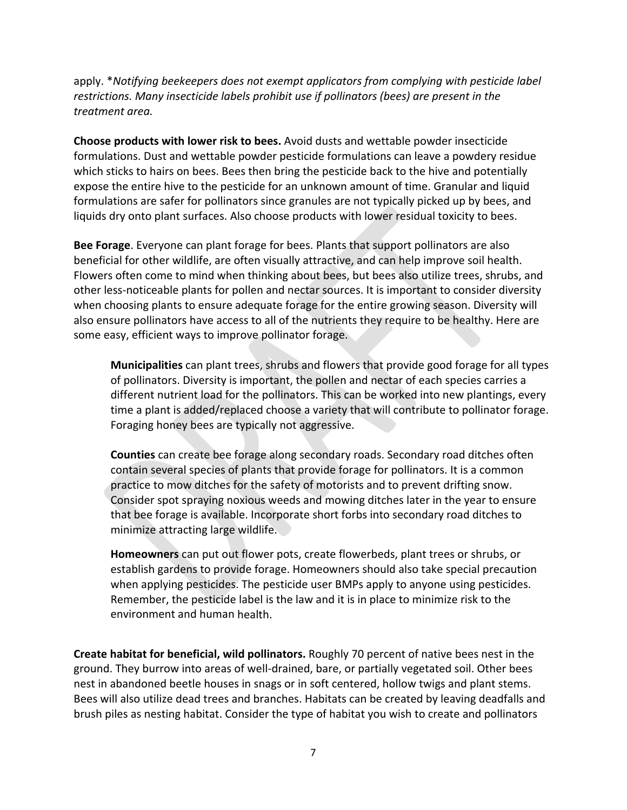apply. \**Notifying beekeepers does not exempt applicators from complying with pesticide label restrictions. Many insecticide labels prohibit use if pollinators (bees) are present in the treatment area.* 

**Choose products with lower risk to bees.** Avoid dusts and wettable powder insecticide formulations. Dust and wettable powder pesticide formulations can leave a powdery residue which sticks to hairs on bees. Bees then bring the pesticide back to the hive and potentially expose the entire hive to the pesticide for an unknown amount of time. Granular and liquid formulations are safer for pollinators since granules are not typically picked up by bees, and liquids dry onto plant surfaces. Also choose products with lower residual toxicity to bees.

**Bee Forage**. Everyone can plant forage for bees. Plants that support pollinators are also beneficial for other wildlife, are often visually attractive, and can help improve soil health. Flowers often come to mind when thinking about bees, but bees also utilize trees, shrubs, and other less‐noticeable plants for pollen and nectar sources. It is important to consider diversity when choosing plants to ensure adequate forage for the entire growing season. Diversity will also ensure pollinators have access to all of the nutrients they require to be healthy. Here are some easy, efficient ways to improve pollinator forage.

**Municipalities** can plant trees, shrubs and flowers that provide good forage for all types of pollinators. Diversity is important, the pollen and nectar of each species carries a different nutrient load for the pollinators. This can be worked into new plantings, every time a plant is added/replaced choose a variety that will contribute to pollinator forage. Foraging honey bees are typically not aggressive.

**Counties** can create bee forage along secondary roads. Secondary road ditches often contain several species of plants that provide forage for pollinators. It is a common practice to mow ditches for the safety of motorists and to prevent drifting snow. Consider spot spraying noxious weeds and mowing ditches later in the year to ensure that bee forage is available. Incorporate short forbs into secondary road ditches to minimize attracting large wildlife.

**Homeowners** can put out flower pots, create flowerbeds, plant trees or shrubs, or establish gardens to provide forage. Homeowners should also take special precaution when applying pesticides. The pesticide user BMPs apply to anyone using pesticides. Remember, the pesticide label is the law and it is in place to minimize risk to the environment and human health.

**Create habitat for beneficial, wild pollinators.** Roughly 70 percent of native bees nest in the ground. They burrow into areas of well‐drained, bare, or partially vegetated soil. Other bees nest in abandoned beetle houses in snags or in soft centered, hollow twigs and plant stems. Bees will also utilize dead trees and branches. Habitats can be created by leaving deadfalls and brush piles as nesting habitat. Consider the type of habitat you wish to create and pollinators